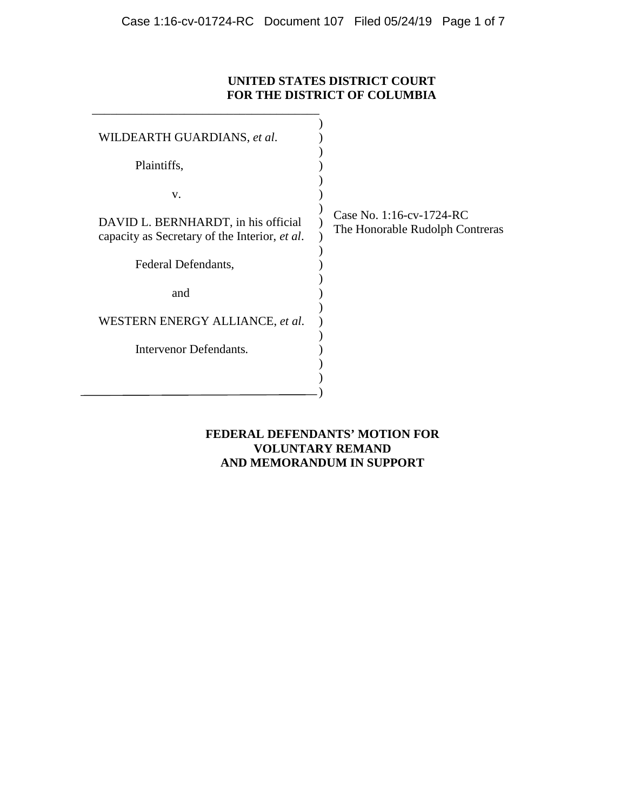# **UNITED STATES DISTRICT COURT FOR THE DISTRICT OF COLUMBIA**

| WILDEARTH GUARDIANS, et al.                                                          |                                                             |
|--------------------------------------------------------------------------------------|-------------------------------------------------------------|
| Plaintiffs,                                                                          |                                                             |
| V.                                                                                   |                                                             |
| DAVID L. BERNHARDT, in his official<br>capacity as Secretary of the Interior, et al. | Case No. 1:16-cv-1724-RC<br>The Honorable Rudolph Contreras |
| Federal Defendants,                                                                  |                                                             |
| and                                                                                  |                                                             |
| WESTERN ENERGY ALLIANCE, et al.                                                      |                                                             |
| <b>Intervenor Defendants.</b>                                                        |                                                             |
|                                                                                      |                                                             |
|                                                                                      |                                                             |

\_\_\_\_\_\_\_\_\_\_\_\_\_\_\_\_\_\_\_\_\_\_\_\_\_\_\_\_\_\_\_\_\_\_\_\_\_

## **FEDERAL DEFENDANTS' MOTION FOR VOLUNTARY REMAND AND MEMORANDUM IN SUPPORT**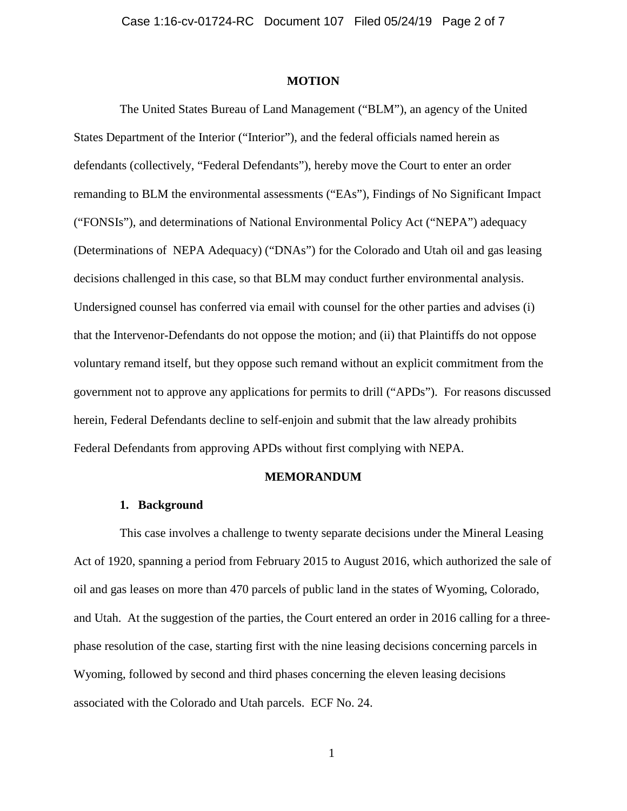#### **MOTION**

The United States Bureau of Land Management ("BLM"), an agency of the United States Department of the Interior ("Interior"), and the federal officials named herein as defendants (collectively, "Federal Defendants"), hereby move the Court to enter an order remanding to BLM the environmental assessments ("EAs"), Findings of No Significant Impact ("FONSIs"), and determinations of National Environmental Policy Act ("NEPA") adequacy (Determinations of NEPA Adequacy) ("DNAs") for the Colorado and Utah oil and gas leasing decisions challenged in this case, so that BLM may conduct further environmental analysis. Undersigned counsel has conferred via email with counsel for the other parties and advises (i) that the Intervenor-Defendants do not oppose the motion; and (ii) that Plaintiffs do not oppose voluntary remand itself, but they oppose such remand without an explicit commitment from the government not to approve any applications for permits to drill ("APDs"). For reasons discussed herein, Federal Defendants decline to self-enjoin and submit that the law already prohibits Federal Defendants from approving APDs without first complying with NEPA.

#### **MEMORANDUM**

#### **1. Background**

This case involves a challenge to twenty separate decisions under the Mineral Leasing Act of 1920, spanning a period from February 2015 to August 2016, which authorized the sale of oil and gas leases on more than 470 parcels of public land in the states of Wyoming, Colorado, and Utah. At the suggestion of the parties, the Court entered an order in 2016 calling for a threephase resolution of the case, starting first with the nine leasing decisions concerning parcels in Wyoming, followed by second and third phases concerning the eleven leasing decisions associated with the Colorado and Utah parcels. ECF No. 24.

1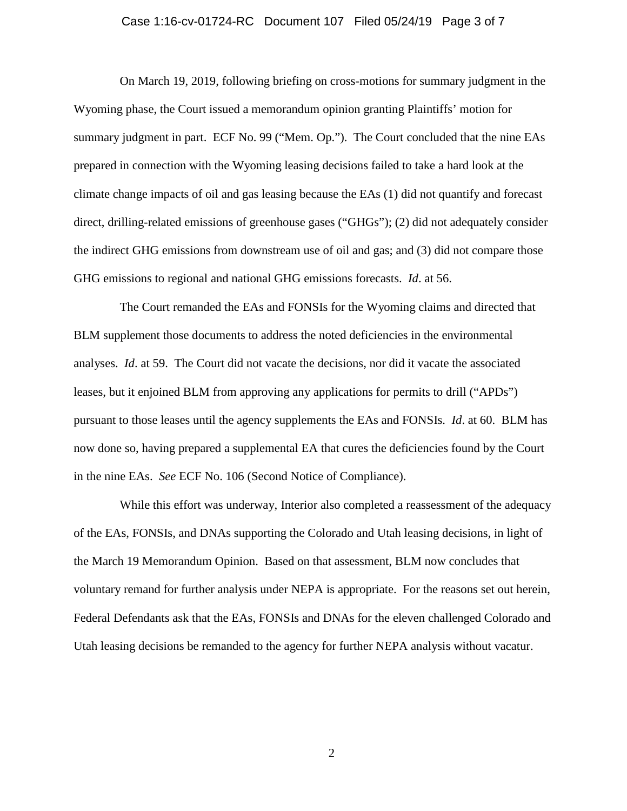### Case 1:16-cv-01724-RC Document 107 Filed 05/24/19 Page 3 of 7

On March 19, 2019, following briefing on cross-motions for summary judgment in the Wyoming phase, the Court issued a memorandum opinion granting Plaintiffs' motion for summary judgment in part. ECF No. 99 ("Mem. Op."). The Court concluded that the nine EAs prepared in connection with the Wyoming leasing decisions failed to take a hard look at the climate change impacts of oil and gas leasing because the EAs (1) did not quantify and forecast direct, drilling-related emissions of greenhouse gases ("GHGs"); (2) did not adequately consider the indirect GHG emissions from downstream use of oil and gas; and (3) did not compare those GHG emissions to regional and national GHG emissions forecasts. *Id*. at 56.

The Court remanded the EAs and FONSIs for the Wyoming claims and directed that BLM supplement those documents to address the noted deficiencies in the environmental analyses. *Id*. at 59. The Court did not vacate the decisions, nor did it vacate the associated leases, but it enjoined BLM from approving any applications for permits to drill ("APDs") pursuant to those leases until the agency supplements the EAs and FONSIs. *Id*. at 60. BLM has now done so, having prepared a supplemental EA that cures the deficiencies found by the Court in the nine EAs. *See* ECF No. 106 (Second Notice of Compliance).

While this effort was underway, Interior also completed a reassessment of the adequacy of the EAs, FONSIs, and DNAs supporting the Colorado and Utah leasing decisions, in light of the March 19 Memorandum Opinion. Based on that assessment, BLM now concludes that voluntary remand for further analysis under NEPA is appropriate. For the reasons set out herein, Federal Defendants ask that the EAs, FONSIs and DNAs for the eleven challenged Colorado and Utah leasing decisions be remanded to the agency for further NEPA analysis without vacatur.

2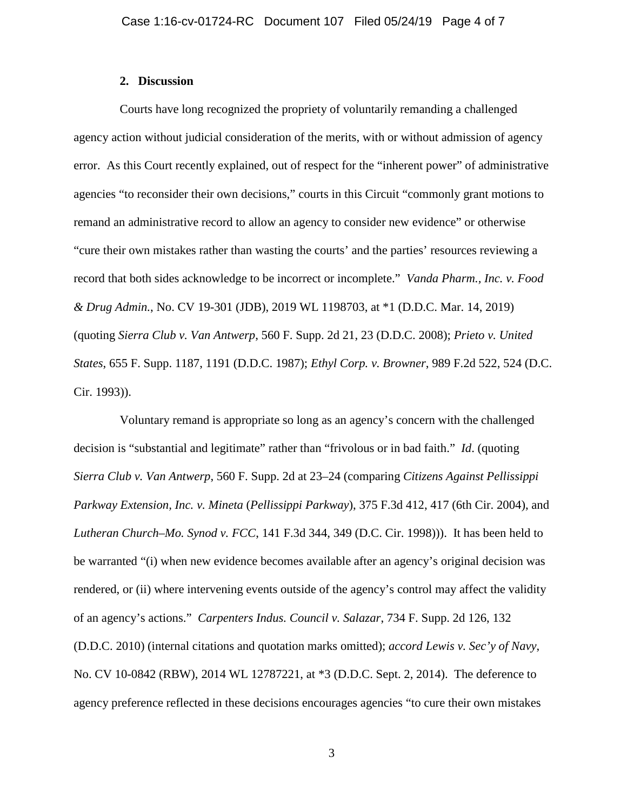## **2. Discussion**

Courts have long recognized the propriety of voluntarily remanding a challenged agency action without judicial consideration of the merits, with or without admission of agency error. As this Court recently explained, out of respect for the "inherent power" of administrative agencies "to reconsider their own decisions," courts in this Circuit "commonly grant motions to remand an administrative record to allow an agency to consider new evidence" or otherwise "cure their own mistakes rather than wasting the courts' and the parties' resources reviewing a record that both sides acknowledge to be incorrect or incomplete." *Vanda Pharm., Inc. v. Food & Drug Admin.*, No. CV 19-301 (JDB), 2019 WL 1198703, at \*1 (D.D.C. Mar. 14, 2019) (quoting *Sierra Club v. Van Antwerp*, 560 F. Supp. 2d 21, 23 (D.D.C. 2008); *Prieto v. United States*, 655 F. Supp. 1187, 1191 (D.D.C. 1987); *Ethyl Corp. v. Browner*, 989 F.2d 522, 524 (D.C. Cir. 1993)).

Voluntary remand is appropriate so long as an agency's concern with the challenged decision is "substantial and legitimate" rather than "frivolous or in bad faith." *Id*. (quoting *Sierra Club v. Van Antwerp*, 560 F. Supp. 2d at 23–24 (comparing *Citizens Against Pellissippi Parkway Extension, Inc. v. Mineta* (*Pellissippi Parkway*), 375 F.3d 412, 417 (6th Cir. 2004), and *Lutheran Church–Mo. Synod v. FCC*, 141 F.3d 344, 349 (D.C. Cir. 1998))). It has been held to be warranted "(i) when new evidence becomes available after an agency's original decision was rendered, or (ii) where intervening events outside of the agency's control may affect the validity of an agency's actions." *Carpenters Indus. Council v. Salazar*, 734 F. Supp. 2d 126, 132 (D.D.C. 2010) (internal citations and quotation marks omitted); *accord Lewis v. Sec'y of Navy*, No. CV 10-0842 (RBW), 2014 WL 12787221, at \*3 (D.D.C. Sept. 2, 2014). The deference to agency preference reflected in these decisions encourages agencies "to cure their own mistakes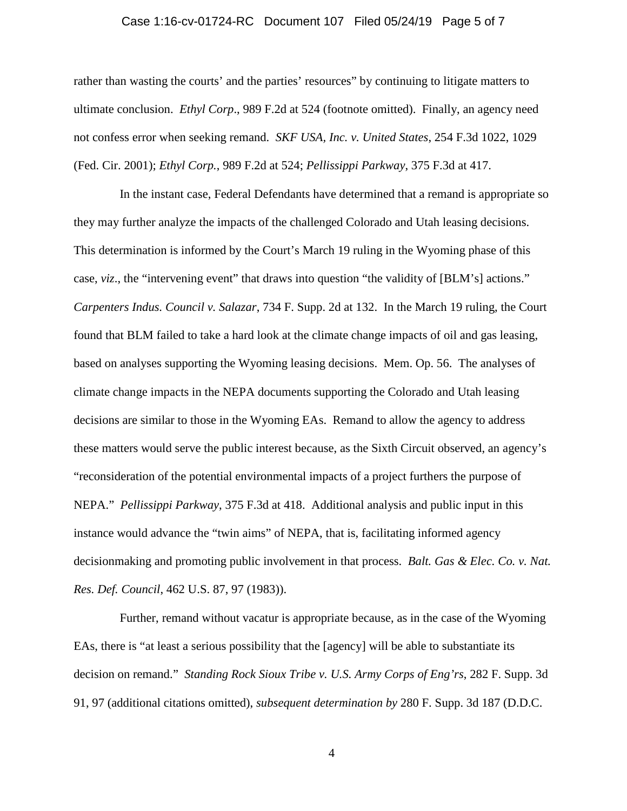### Case 1:16-cv-01724-RC Document 107 Filed 05/24/19 Page 5 of 7

rather than wasting the courts' and the parties' resources" by continuing to litigate matters to ultimate conclusion. *Ethyl Corp*., 989 F.2d at 524 (footnote omitted). Finally, an agency need not confess error when seeking remand. *SKF USA, Inc. v. United States*, 254 F.3d 1022, 1029 (Fed. Cir. 2001); *Ethyl Corp.*, 989 F.2d at 524; *Pellissippi Parkway*, 375 F.3d at 417.

In the instant case, Federal Defendants have determined that a remand is appropriate so they may further analyze the impacts of the challenged Colorado and Utah leasing decisions. This determination is informed by the Court's March 19 ruling in the Wyoming phase of this case, *viz*., the "intervening event" that draws into question "the validity of [BLM's] actions." *Carpenters Indus. Council v. Salazar*, 734 F. Supp. 2d at 132. In the March 19 ruling, the Court found that BLM failed to take a hard look at the climate change impacts of oil and gas leasing, based on analyses supporting the Wyoming leasing decisions. Mem. Op. 56. The analyses of climate change impacts in the NEPA documents supporting the Colorado and Utah leasing decisions are similar to those in the Wyoming EAs. Remand to allow the agency to address these matters would serve the public interest because, as the Sixth Circuit observed, an agency's "reconsideration of the potential environmental impacts of a project furthers the purpose of NEPA." *Pellissippi Parkway*, 375 F.3d at 418. Additional analysis and public input in this instance would advance the "twin aims" of NEPA, that is, facilitating informed agency decisionmaking and promoting public involvement in that process. *Balt. Gas & Elec. Co. v. Nat. Res. Def. Council*, 462 U.S. 87, 97 (1983)).

Further, remand without vacatur is appropriate because, as in the case of the Wyoming EAs, there is "at least a serious possibility that the [agency] will be able to substantiate its decision on remand." *Standing Rock Sioux Tribe v. U.S. Army Corps of Eng'rs*, 282 F. Supp. 3d 91, 97 (additional citations omitted), *subsequent determination by* 280 F. Supp. 3d 187 (D.D.C.

4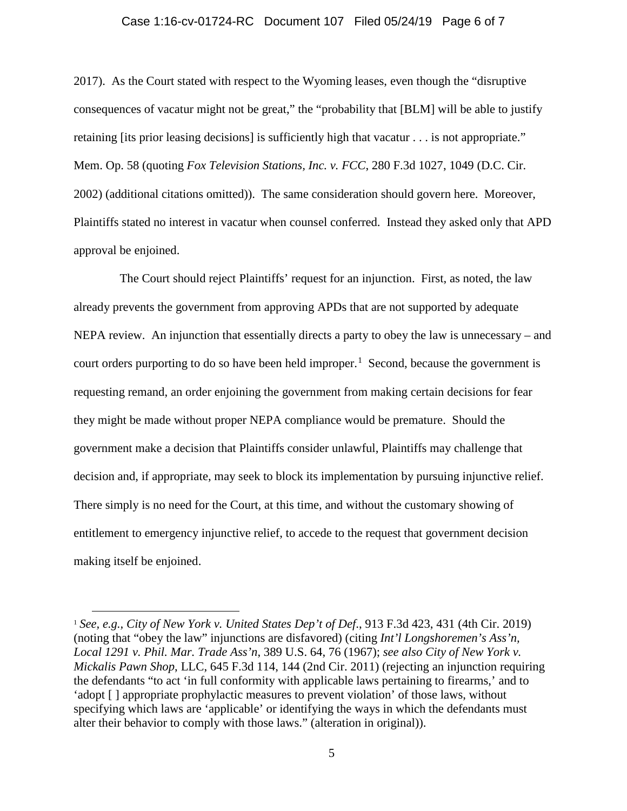### Case 1:16-cv-01724-RC Document 107 Filed 05/24/19 Page 6 of 7

2017). As the Court stated with respect to the Wyoming leases, even though the "disruptive consequences of vacatur might not be great," the "probability that [BLM] will be able to justify retaining [its prior leasing decisions] is sufficiently high that vacatur . . . is not appropriate." Mem. Op. 58 (quoting *Fox Television Stations, Inc. v. FCC*, 280 F.3d 1027, 1049 (D.C. Cir. 2002) (additional citations omitted)). The same consideration should govern here. Moreover, Plaintiffs stated no interest in vacatur when counsel conferred. Instead they asked only that APD approval be enjoined.

The Court should reject Plaintiffs' request for an injunction. First, as noted, the law already prevents the government from approving APDs that are not supported by adequate NEPA review. An injunction that essentially directs a party to obey the law is unnecessary – and court orders purporting to do so have been held improper.<sup>[1](#page-5-0)</sup> Second, because the government is requesting remand, an order enjoining the government from making certain decisions for fear they might be made without proper NEPA compliance would be premature. Should the government make a decision that Plaintiffs consider unlawful, Plaintiffs may challenge that decision and, if appropriate, may seek to block its implementation by pursuing injunctive relief. There simply is no need for the Court, at this time, and without the customary showing of entitlement to emergency injunctive relief, to accede to the request that government decision making itself be enjoined.

<span id="page-5-0"></span> <sup>1</sup> *See, e.g., City of New York v. United States Dep't of Def*., 913 F.3d 423, 431 (4th Cir. 2019) (noting that "obey the law" injunctions are disfavored) (citing *Int'l Longshoremen's Ass'n, Local 1291 v. Phil. Mar. Trade Ass'n*, 389 U.S. 64, 76 (1967); *see also City of New York v. Mickalis Pawn Shop*, LLC, 645 F.3d 114, 144 (2nd Cir. 2011) (rejecting an injunction requiring the defendants "to act 'in full conformity with applicable laws pertaining to firearms,' and to 'adopt [ ] appropriate prophylactic measures to prevent violation' of those laws, without specifying which laws are 'applicable' or identifying the ways in which the defendants must alter their behavior to comply with those laws." (alteration in original)).